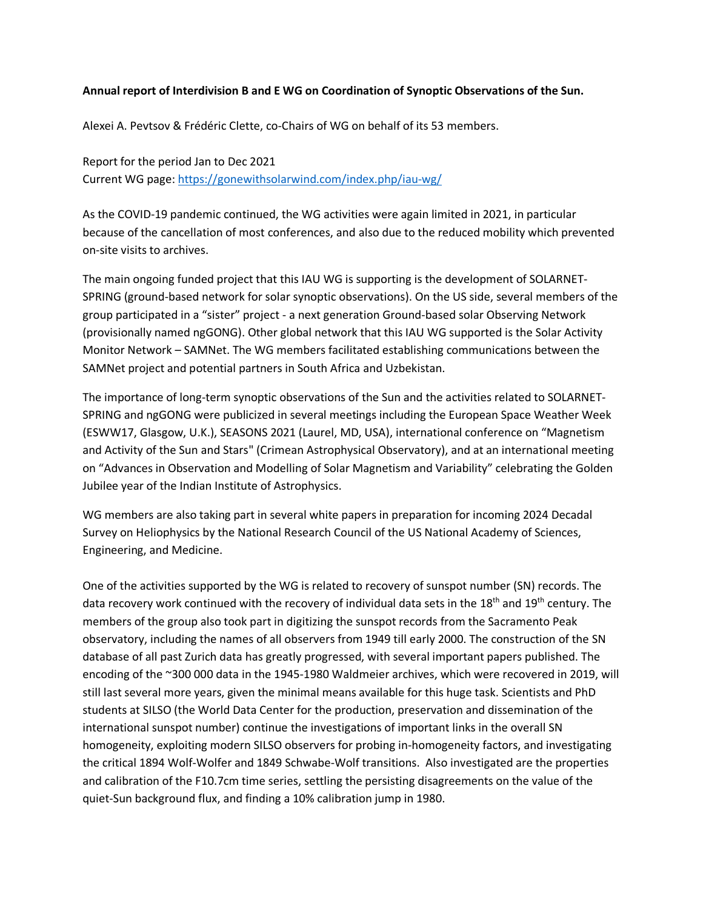## **Annual report of Interdivision B and E WG on Coordination of Synoptic Observations of the Sun.**

Alexei A. Pevtsov & Frédéric Clette, co-Chairs of WG on behalf of its 53 members.

Report for the period Jan to Dec 2021 Current WG page:<https://gonewithsolarwind.com/index.php/iau-wg/>

As the COVID-19 pandemic continued, the WG activities were again limited in 2021, in particular because of the cancellation of most conferences, and also due to the reduced mobility which prevented on-site visits to archives.

The main ongoing funded project that this IAU WG is supporting is the development of SOLARNET-SPRING (ground-based network for solar synoptic observations). On the US side, several members of the group participated in a "sister" project - a next generation Ground-based solar Observing Network (provisionally named ngGONG). Other global network that this IAU WG supported is the Solar Activity Monitor Network – SAMNet. The WG members facilitated establishing communications between the SAMNet project and potential partners in South Africa and Uzbekistan.

The importance of long-term synoptic observations of the Sun and the activities related to SOLARNET-SPRING and ngGONG were publicized in several meetings including the European Space Weather Week (ESWW17, Glasgow, U.K.), SEASONS 2021 (Laurel, MD, USA), international conference on "Magnetism and Activity of the Sun and Stars" (Crimean Astrophysical Observatory), and at an international meeting on "Advances in Observation and Modelling of Solar Magnetism and Variability" celebrating the Golden Jubilee year of the Indian Institute of Astrophysics.

WG members are also taking part in several white papers in preparation for incoming 2024 Decadal Survey on Heliophysics by the National Research Council of the US National Academy of Sciences, Engineering, and Medicine.

One of the activities supported by the WG is related to recovery of sunspot number (SN) records. The data recovery work continued with the recovery of individual data sets in the 18<sup>th</sup> and 19<sup>th</sup> century. The members of the group also took part in digitizing the sunspot records from the Sacramento Peak observatory, including the names of all observers from 1949 till early 2000. The construction of the SN database of all past Zurich data has greatly progressed, with several important papers published. The encoding of the ~300 000 data in the 1945-1980 Waldmeier archives, which were recovered in 2019, will still last several more years, given the minimal means available for this huge task. Scientists and PhD students at SILSO (the World Data Center for the production, preservation and dissemination of the international sunspot number) continue the investigations of important links in the overall SN homogeneity, exploiting modern SILSO observers for probing in-homogeneity factors, and investigating the critical 1894 Wolf-Wolfer and 1849 Schwabe-Wolf transitions. Also investigated are the properties and calibration of the F10.7cm time series, settling the persisting disagreements on the value of the quiet-Sun background flux, and finding a 10% calibration jump in 1980.